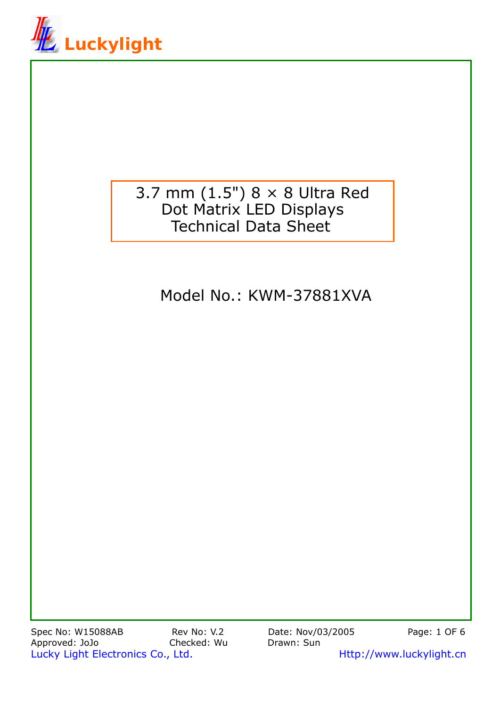

# 3.7 mm (1.5") 8 × 8 Ultra Red Dot Matrix LED Displays Technical Data Sheet

# Model No.: KWM-37881XVA

Spec No: W15088AB Rev No: V.2 Date: Nov/03/2005 Page: 1 OF 6 Approved: JoJo Checked: Wu Drawn: Sun Lucky Light Electronics Co., Ltd. Material Metal Http://www.luckylight.cn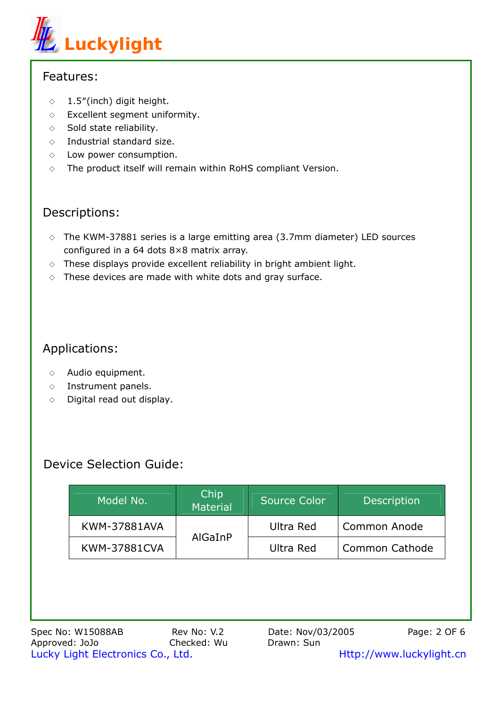

#### Features:

- $\Diamond$  1.5"(inch) digit height.
- ◇ Excellent segment uniformity.
- $\diamond$  Sold state reliability.
- ◇ Industrial standard size.
- $\diamond$  Low power consumption.
- $\diamond$  The product itself will remain within RoHS compliant Version.

#### Descriptions:

- $\circ$  The KWM-37881 series is a large emitting area (3.7mm diameter) LED sources configured in a 64 dots 8×8 matrix array.
- $\Diamond$  These displays provide excellent reliability in bright ambient light.
- $\Diamond$  These devices are made with white dots and gray surface.

# Applications:

- ◇ Audio equipment.
- ◇ Instrument panels.
- $\diamond$  Digital read out display.

## Device Selection Guide:

| Model No.           | Chip<br>Material | <b>Source Color</b> | <b>Description</b>    |  |
|---------------------|------------------|---------------------|-----------------------|--|
| <b>KWM-37881AVA</b> |                  | Ultra Red           | <b>Common Anode</b>   |  |
| <b>KWM-37881CVA</b> | AlGaInP          | Ultra Red           | <b>Common Cathode</b> |  |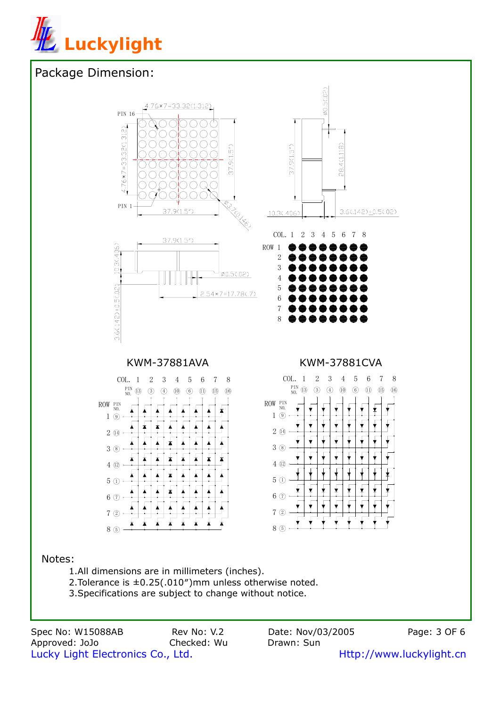

## Package Dimension:



Spec No: W15088AB Rev No: V.2 Date: Nov/03/2005 Page: 3 OF 6 Approved: JoJo Checked: Wu Drawn: Sun Lucky Light Electronics Co., Ltd. **Http://www.luckylight.cn**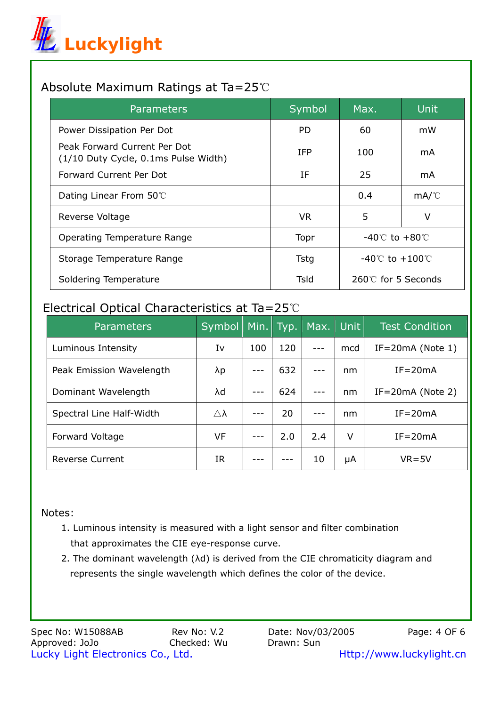

### Absolute Maximum Ratings at Ta=25℃

| <b>Parameters</b>                                                    | Symbol     | Max.                                | <b>Unit</b> |  |
|----------------------------------------------------------------------|------------|-------------------------------------|-------------|--|
| Power Dissipation Per Dot                                            | PD.        | 60                                  | mW          |  |
| Peak Forward Current Per Dot<br>(1/10 Duty Cycle, 0.1ms Pulse Width) | <b>IFP</b> | 100                                 | mA          |  |
| Forward Current Per Dot                                              | IF         | 25                                  | mA          |  |
| Dating Linear From 50°C                                              |            | 0.4                                 | mA/C        |  |
| Reverse Voltage                                                      | VR.        | 5                                   | v           |  |
| Operating Temperature Range                                          | Topr       | $-40^{\circ}$ C to $+80^{\circ}$ C  |             |  |
| Storage Temperature Range                                            | Tstg       | $-40^{\circ}$ C to $+100^{\circ}$ C |             |  |
| Soldering Temperature                                                | Tsld       | $260^\circ$ for 5 Seconds           |             |  |

#### Electrical Optical Characteristics at Ta=25℃

| <b>Parameters</b>        | Symbol                | Min. | Typ. | Max. | Unit | <b>Test Condition</b> |
|--------------------------|-----------------------|------|------|------|------|-----------------------|
| Luminous Intensity       | Iv                    | 100  | 120  |      | mcd  | $IF = 20mA$ (Note 1)  |
| Peak Emission Wavelength | λp                    |      | 632  |      | nm   | $IF = 20mA$           |
| Dominant Wavelength      | λd                    |      | 624  |      | nm   | $IF = 20mA$ (Note 2)  |
| Spectral Line Half-Width | $\triangle$ $\lambda$ |      | 20   |      | nm   | $IF = 20mA$           |
| Forward Voltage          | VF                    |      | 2.0  | 2.4  | v    | $IF = 20mA$           |
| <b>Reverse Current</b>   | IR                    |      |      | 10   | μA   | $VR = 5V$             |

#### Notes:

- 1. Luminous intensity is measured with a light sensor and filter combination that approximates the CIE eye-response curve.
- 2. The dominant wavelength (λd) is derived from the CIE chromaticity diagram and represents the single wavelength which defines the color of the device.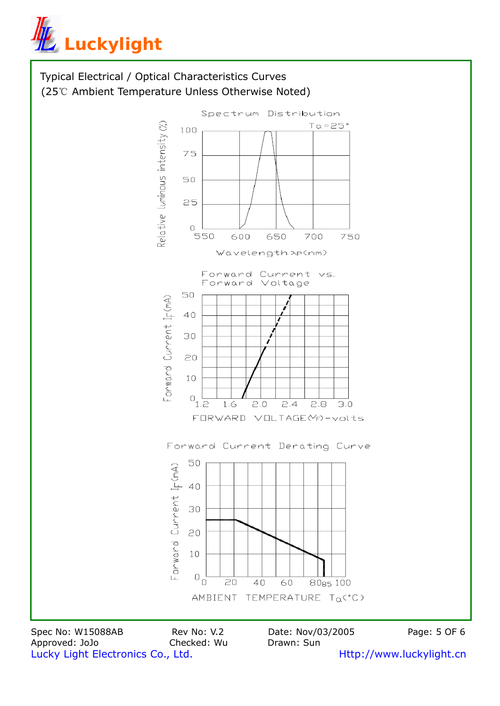



Spec No: W15088AB Rev No: V.2 Date: Nov/03/2005 Page: 5 OF 6 Approved: JoJo Checked: Wu Drawn: Sun Lucky Light Electronics Co., Ltd. **Http://www.luckylight.cn**